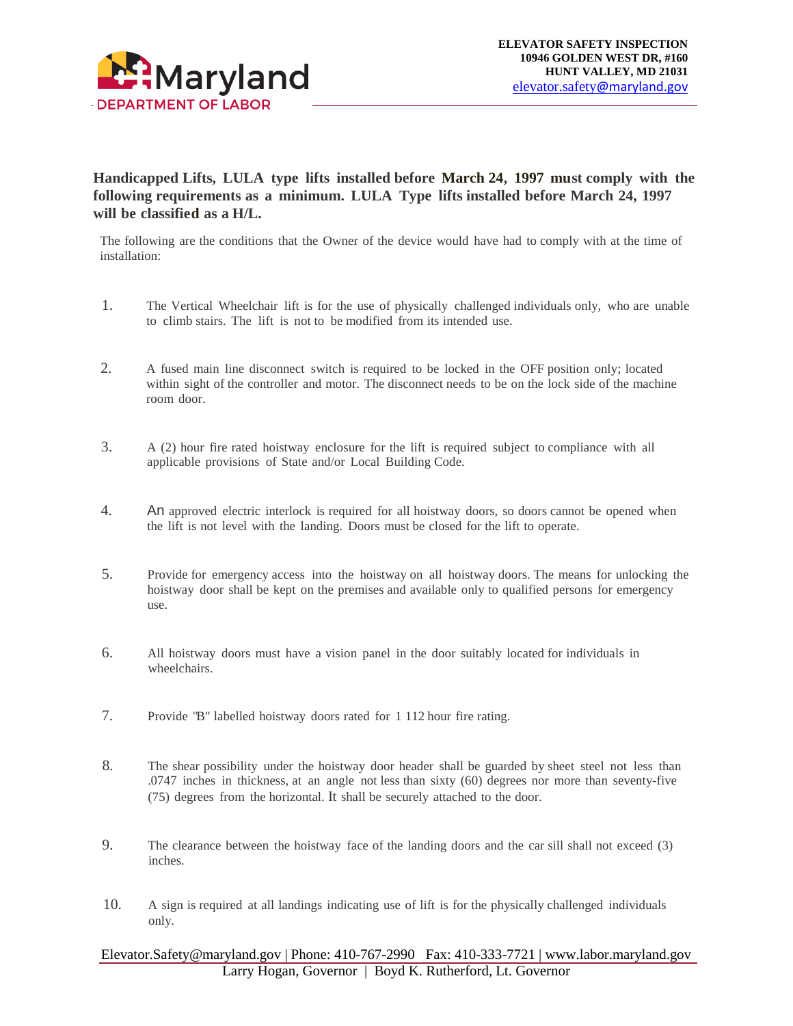

## **Handicapped Lifts, LULA type lifts installed before March 24, 1997 must comply with the following requirements as a minimum. LULA Type lifts installed before March 24, 1997 will be classified as a H/L.**

The following are the conditions that the Owner of the device would have had to comply with at the time of installation:

- 1. The Vertical Wheelchair lift is for the use of physically challenged individuals only, who are unable to climb stairs. The lift is not to be modified from its intended use.
- 2. A fused main line disconnect switch is required to be locked in the OFF position only; located within sight of the controller and motor. The disconnect needs to be on the lock side of the machine room door.
- 3. A (2) hour fire rated hoistway enclosure for the lift is required subject to compliance with all applicable provisions of State and/or Local Building Code.
- 4. An approved electric interlock is required for all hoistway doors, so doors cannot be opened when the lift is not level with the landing. Doors must be closed for the lift to operate.
- 5. Provide for emergency access into the hoistway on all hoistway doors. The means for unlocking the hoistway door shall be kept on the premises and available only to qualified persons for emergency use.
- 6. All hoistway doors must have a vision panel in the door suitably located for individuals in wheelchairs.
- 7. Provide "B" labelled hoistway doors rated for 1 112 hour fire rating.
- 8. The shear possibility under the hoistway door header shall be guarded by sheet steel not less than .0747 inches in thickness, at an angle not less than sixty (60) degrees nor more than seventy-five (75) degrees from the horizontal. It shall be securely attached to the door.
- 9. The clearance between the hoistway face of the landing doors and the car sill shall not exceed (3) inches.
- 10. A sign is required at all landings indicating use of lift is for the physically challenged individuals only.

## Elevator.Safety@maryland.gov | Phone: 410-767-2990 Fax: 410-333-7721 | www.labor.maryland.gov Larry Hogan, Governor | Boyd K. Rutherford, Lt. Governor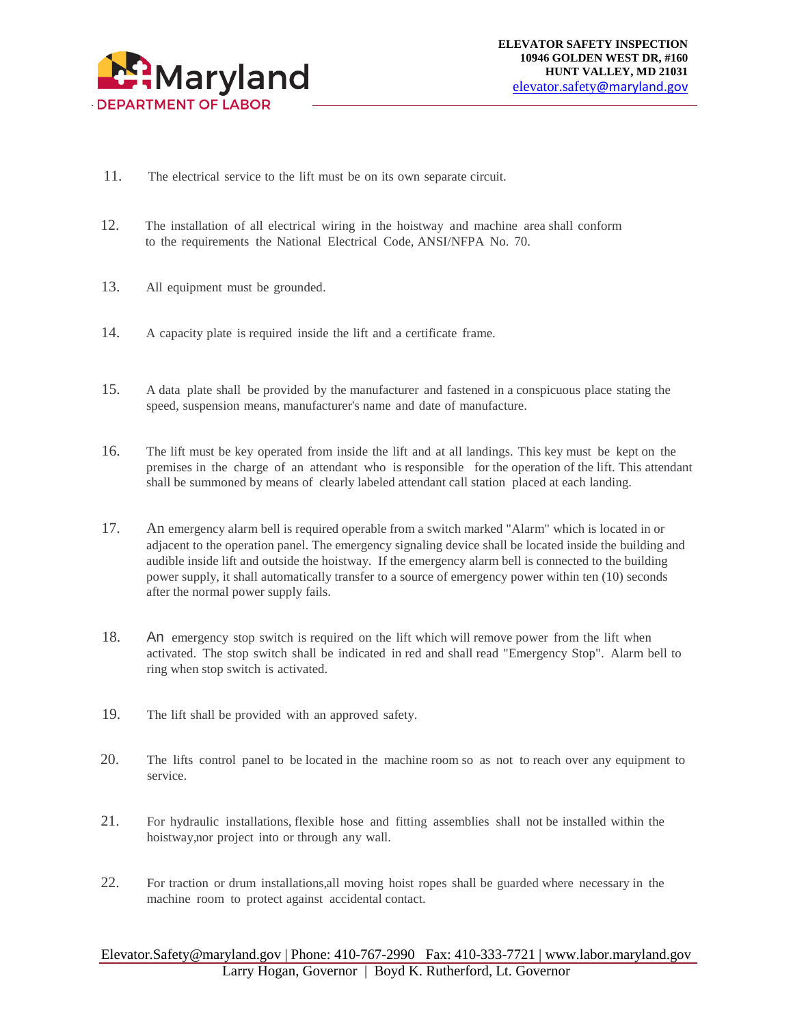

- 11. The electrical service to the lift must be on its own separate circuit.
- 12. The installation of all electrical wiring in the hoistway and machine area shall conform to the requirements the National Electrical Code, ANSI/NFPA No. 70.
- 13. All equipment must be grounded.
- 14. A capacity plate is required inside the lift and a certificate frame.
- 15. A data plate shall be provided by the manufacturer and fastened in a conspicuous place stating the speed, suspension means, manufacturer's name and date of manufacture.
- 16. The lift must be key operated from inside the lift and at all landings. This key must be kept on the premises in the charge of an attendant who is responsible for the operation of the lift. This attendant shall be summoned by means of clearly labeled attendant call station placed at each landing.
- 17. An emergency alarm bell is required operable from a switch marked "Alarm" which is located in or adjacent to the operation panel. The emergency signaling device shall be located inside the building and audible inside lift and outside the hoistway. If the emergency alarm bell is connected to the building power supply, it shall automatically transfer to a source of emergency power within ten (10) seconds after the normal power supply fails.
- 18. An emergency stop switch is required on the lift which will remove power from the lift when activated. The stop switch shall be indicated in red and shall read "Emergency Stop". Alarm bell to ring when stop switch is activated.
- 19. The lift shall be provided with an approved safety.
- 20. The lifts control panel to be located in the machine room so as not to reach over any equipment to service.
- 21. For hydraulic installations, flexible hose and fitting assemblies shall not be installed within the hoistway, nor project into or through any wall.
- 22. For traction or drum installations, all moving hoist ropes shall be guarded where necessary in the machine room to protect against accidental contact.

## Elevator.Safety@maryland.gov | Phone: 410-767-2990 Fax: 410-333-7721 | www.labor.maryland.gov Larry Hogan, Governor | Boyd K. Rutherford, Lt. Governor